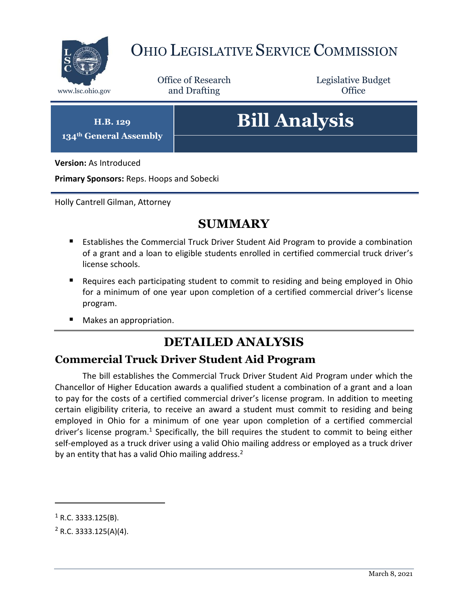

## OHIO LEGISLATIVE SERVICE COMMISSION

Office of Research www.lsc.ohio.gov **and Drafting Office** 

Legislative Budget

**H.B. 129 134th General Assembly**

# **Bill Analysis**

**Version:** As Introduced

**Primary Sponsors:** Reps. Hoops and Sobecki

Holly Cantrell Gilman, Attorney

## **SUMMARY**

- Establishes the Commercial Truck Driver Student Aid Program to provide a combination of a grant and a loan to eligible students enrolled in certified commercial truck driver's license schools.
- **Requires each participating student to commit to residing and being employed in Ohio** for a minimum of one year upon completion of a certified commercial driver's license program.
- Makes an appropriation.

## **DETAILED ANALYSIS**

#### **Commercial Truck Driver Student Aid Program**

The bill establishes the Commercial Truck Driver Student Aid Program under which the Chancellor of Higher Education awards a qualified student a combination of a grant and a loan to pay for the costs of a certified commercial driver's license program. In addition to meeting certain eligibility criteria, to receive an award a student must commit to residing and being employed in Ohio for a minimum of one year upon completion of a certified commercial driver's license program.<sup>1</sup> Specifically, the bill requires the student to commit to being either self-employed as a truck driver using a valid Ohio mailing address or employed as a truck driver by an entity that has a valid Ohio mailing address.<sup>2</sup>

 $\overline{a}$ 

 $1$  R.C. 3333.125(B).

 $2$  R.C. 3333.125(A)(4).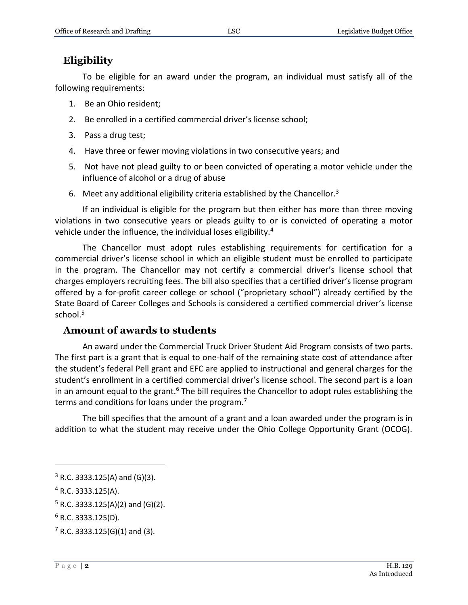### **Eligibility**

To be eligible for an award under the program, an individual must satisfy all of the following requirements:

- 1. Be an Ohio resident;
- 2. Be enrolled in a certified commercial driver's license school;
- 3. Pass a drug test;
- 4. Have three or fewer moving violations in two consecutive years; and
- 5. Not have not plead guilty to or been convicted of operating a motor vehicle under the influence of alcohol or a drug of abuse
- 6. Meet any additional eligibility criteria established by the Chancellor.<sup>3</sup>

If an individual is eligible for the program but then either has more than three moving violations in two consecutive years or pleads guilty to or is convicted of operating a motor vehicle under the influence, the individual loses eligibility.<sup>4</sup>

The Chancellor must adopt rules establishing requirements for certification for a commercial driver's license school in which an eligible student must be enrolled to participate in the program. The Chancellor may not certify a commercial driver's license school that charges employers recruiting fees. The bill also specifies that a certified driver's license program offered by a for-profit career college or school ("proprietary school") already certified by the State Board of Career Colleges and Schools is considered a certified commercial driver's license school. $5$ 

#### **Amount of awards to students**

An award under the Commercial Truck Driver Student Aid Program consists of two parts. The first part is a grant that is equal to one-half of the remaining state cost of attendance after the student's federal Pell grant and EFC are applied to instructional and general charges for the student's enrollment in a certified commercial driver's license school. The second part is a loan in an amount equal to the grant.<sup>6</sup> The bill requires the Chancellor to adopt rules establishing the terms and conditions for loans under the program.<sup>7</sup>

The bill specifies that the amount of a grant and a loan awarded under the program is in addition to what the student may receive under the Ohio College Opportunity Grant (OCOG).

 $\overline{a}$ 

 $3$  R.C. 3333.125(A) and (G)(3).

<sup>4</sup> R.C. 3333.125(A).

 $5$  R.C. 3333.125(A)(2) and (G)(2).

 $6$  R.C. 3333.125(D).

 $7$  R.C. 3333.125(G)(1) and (3).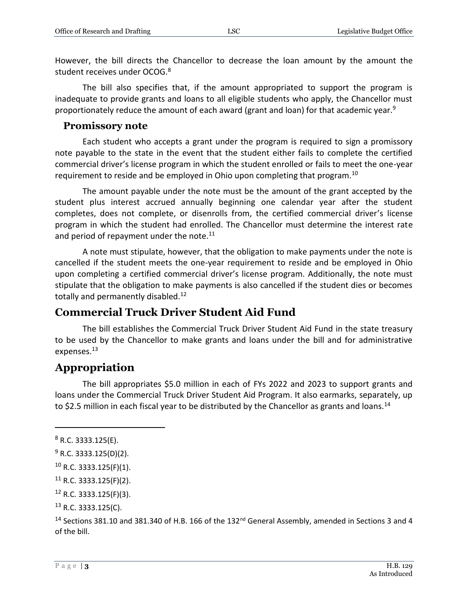However, the bill directs the Chancellor to decrease the loan amount by the amount the student receives under OCOG.<sup>8</sup>

The bill also specifies that, if the amount appropriated to support the program is inadequate to provide grants and loans to all eligible students who apply, the Chancellor must proportionately reduce the amount of each award (grant and loan) for that academic year.<sup>9</sup>

#### **Promissory note**

Each student who accepts a grant under the program is required to sign a promissory note payable to the state in the event that the student either fails to complete the certified commercial driver's license program in which the student enrolled or fails to meet the one-year requirement to reside and be employed in Ohio upon completing that program.<sup>10</sup>

The amount payable under the note must be the amount of the grant accepted by the student plus interest accrued annually beginning one calendar year after the student completes, does not complete, or disenrolls from, the certified commercial driver's license program in which the student had enrolled. The Chancellor must determine the interest rate and period of repayment under the note. $11$ 

A note must stipulate, however, that the obligation to make payments under the note is cancelled if the student meets the one-year requirement to reside and be employed in Ohio upon completing a certified commercial driver's license program. Additionally, the note must stipulate that the obligation to make payments is also cancelled if the student dies or becomes totally and permanently disabled.<sup>12</sup>

#### **Commercial Truck Driver Student Aid Fund**

The bill establishes the Commercial Truck Driver Student Aid Fund in the state treasury to be used by the Chancellor to make grants and loans under the bill and for administrative expenses.<sup>13</sup>

#### **Appropriation**

The bill appropriates \$5.0 million in each of FYs 2022 and 2023 to support grants and loans under the Commercial Truck Driver Student Aid Program. It also earmarks, separately, up to \$2.5 million in each fiscal year to be distributed by the Chancellor as grants and loans.<sup>14</sup>

 $\overline{a}$ 

 $8$  R.C. 3333.125(E).

 $9$  R.C. 3333.125(D)(2).

 $10$  R.C. 3333.125(F)(1).

 $11$  R.C. 3333.125(F)(2).

<sup>12</sup> R.C. 3333.125(F)(3).

 $13$  R.C. 3333.125(C).

<sup>&</sup>lt;sup>14</sup> Sections 381.10 and 381.340 of H.B. 166 of the 132<sup>nd</sup> General Assembly, amended in Sections 3 and 4 of the bill.